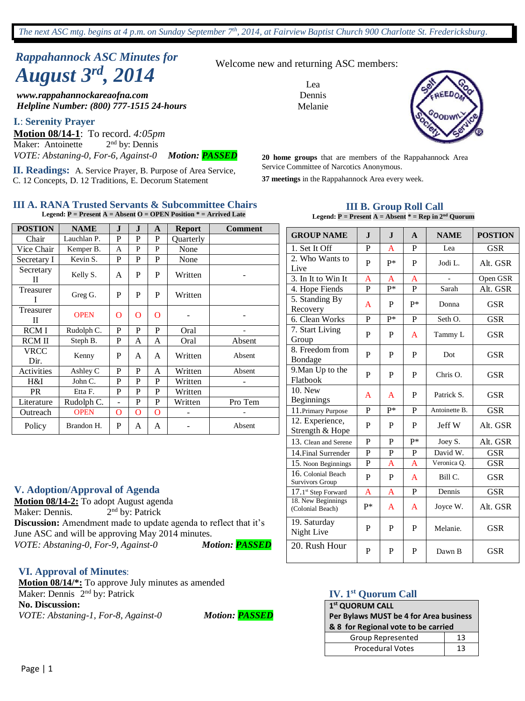# *Rappahannock ASC Minutes for August 3rd , 2014*

*www.rappahannockareaofna.com Helpline Number: (800) 777-1515 24-hours*

#### **I.**: **Serenity Prayer**

**Motion 08/14-1**: To record. *4:05pm* Maker: Antoinette  $2<sup>nd</sup>$  by: Dennis *VOTE: Abstaning-0, For-6, Against-0 Motion: PASSED*

**II. Readings:** A. Service Prayer, B. Purpose of Area Service, C. 12 Concepts, D. 12 Traditions, E. Decorum Statement

#### **III A. RANA Trusted Servants & Subcommittee Chairs Legend: P = Present A = Absent O = OPEN Position \* = Arrived Late**

| <b>POSTION</b> | <b>NAME</b> | J. | J | A            | <b>Report</b> | <b>Comment</b> |
|----------------|-------------|----|---|--------------|---------------|----------------|
| Chair          | Lauchlan P. | P  | P | P            | Quarterly     |                |
| Vice Chair     | Kemper B.   | A  | P | P            | None          |                |
| Secretary I    | Kevin S.    | P  | P | P            | None          |                |
| Secretary<br>П | Kelly S.    | A  | P | P            | Written       |                |
| Treasurer      | Greg G.     | P  | P | P            | Written       |                |
| Treasurer<br>П | <b>OPEN</b> | O  | O | O            |               |                |
| <b>RCMI</b>    | Rudolph C.  | P  | P | P            | Oral          |                |
| <b>RCMII</b>   | Steph B.    | P  | A | A            | Oral          | Absent         |
| VRCC<br>Dir.   | Kenny       | P  | A | A            | Written       | Absent         |
| Activities     | Ashley C    | P  | P | A            | Written       | Absent         |
| H&I            | John C.     | P  | P | P            | Written       |                |
| <b>PR</b>      | Etta F.     | P  | P | P            | Written       |                |
| Literature     | Rudolph C.  |    | P | P            | Written       | Pro Tem        |
| Outreach       | <b>OPEN</b> | O  | O | $\mathbf{O}$ |               |                |
| Policy         | Brandon H.  | P  | A | A            |               | Absent         |

#### **V. Adoption/Approval of Agenda**

**Motion 08/14-2:** To adopt August agenda Maker: Dennis. 2 2<sup>nd</sup> by: Patrick **Discussion:** Amendment made to update agenda to reflect that it's June ASC and will be approving May 2014 minutes. *VOTE: Abstaning-0, For-9, Against-0 Motion: PASSED*

#### **VI. Approval of Minutes**:

**Motion 08/14/\*:** To approve July minutes as amended Maker: Dennis 2<sup>nd</sup> by: Patrick **No. Discussion:** *VOTE: Abstaning-1, For-8, Against-0 Motion: PASSED*

Welcome new and returning ASC members:

Lea Dennis Melanie



**20 home groups** that are members of the Rappahannock Area Service Committee of Narcotics Anonymous.

**37 meetings** in the Rappahannock Area every week.

#### **III B. Group Roll Call Legend: P = Present A = Absent \* = Rep in 2nd Quorum**

| <b>GROUP NAME</b>                      | $\mathbf{I}$   | $\mathbf{I}$     | $\mathbf{A}$ | <b>NAME</b>   | <b>POSTION</b> |
|----------------------------------------|----------------|------------------|--------------|---------------|----------------|
| 1. Set It Off                          | P              | A                | P            | Lea           | <b>GSR</b>     |
| 2. Who Wants to<br>Live                | P              | $P*$             | P            | Jodi L.       | Alt. GSR       |
| 3. In It to Win It                     | A              | A                | A            |               | Open GSR       |
| 4. Hope Fiends                         | $\overline{P}$ | $\overline{P^*}$ | P            | Sarah         | Alt. GSR       |
| 5. Standing By<br>Recovery             | A              | P                | $P*$         | Donna         | <b>GSR</b>     |
| 6. Clean Works                         | P              | P*               | P            | Seth O.       | <b>GSR</b>     |
| 7. Start Living<br>Group               | P              | P                | A            | Tammy L       | <b>GSR</b>     |
| 8. Freedom from<br>Bondage             | P              | P                | P            | Dot           | <b>GSR</b>     |
| 9. Man Up to the<br>Flatbook           | P              | P                | P            | Chris $O$ .   | GSR            |
| 10. New<br>Beginnings                  | A              | A                | P            | Patrick S.    | <b>GSR</b>     |
| 11. Primary Purpose                    | P              | $P*$             | P            | Antoinette B. | <b>GSR</b>     |
| 12. Experience,<br>Strength & Hope     | P              | P                | P            | Jeff W        | Alt. GSR       |
| 13. Clean and Serene                   | P              | P                | P*           | Joey S.       | Alt. GSR       |
| 14. Final Surrender                    | $\mathbf P$    | $\mathbf{P}$     | P            | David W.      | <b>GSR</b>     |
| 15. Noon Beginnings                    | P              | A                | A            | Veronica Q.   | <b>GSR</b>     |
| 16. Colonial Beach<br>Survivors Group  | P              | P                | A            | Bill C.       | <b>GSR</b>     |
| $17.1$ <sup>st</sup> Step Forward      | A              | A                | P            | Dennis        | <b>GSR</b>     |
| 18. New Beginnings<br>(Colonial Beach) | p*             | A                | A            | Joyce W.      | Alt. GSR       |
| 19. Saturday<br>Night Live             | P              | $\mathbf{P}$     | P            | Melanie.      | <b>GSR</b>     |
| 20. Rush Hour                          | P              | P                | P            | Dawn B        | <b>GSR</b>     |

#### **IV. 1st Quorum Call**

#### **1 st QUORUM CALL Per Bylaws MUST be 4 for Area business & 8 for Regional vote to be carried** Group Represented | 13 Procedural Votes 13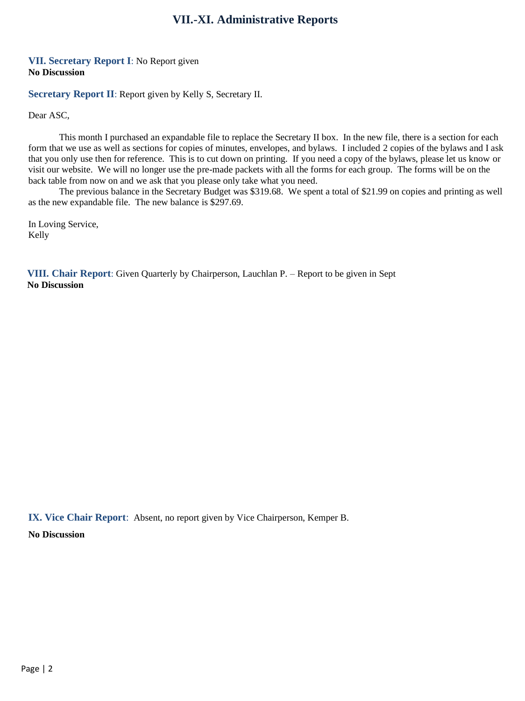# **VII.-XI. Administrative Reports**

#### **VII. Secretary Report I**: No Report given **No Discussion**

**Secretary Report II**: Report given by Kelly S, Secretary II.

Dear ASC,

This month I purchased an expandable file to replace the Secretary II box. In the new file, there is a section for each form that we use as well as sections for copies of minutes, envelopes, and bylaws. I included 2 copies of the bylaws and I ask that you only use then for reference. This is to cut down on printing. If you need a copy of the bylaws, please let us know or visit our website. We will no longer use the pre-made packets with all the forms for each group. The forms will be on the back table from now on and we ask that you please only take what you need.

The previous balance in the Secretary Budget was \$319.68. We spent a total of \$21.99 on copies and printing as well as the new expandable file. The new balance is \$297.69.

In Loving Service, Kelly

**VIII. Chair Report**: Given Quarterly by Chairperson, Lauchlan P. – Report to be given in Sept **No Discussion**

**IX. Vice Chair Report**: Absent, no report given by Vice Chairperson, Kemper B.

**No Discussion**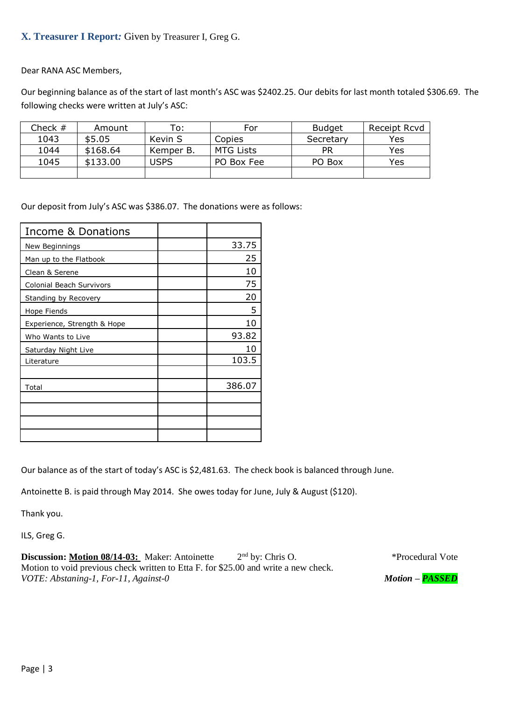## **X. Treasurer I Report***:* Given by Treasurer I, Greg G.

Dear RANA ASC Members,

Our beginning balance as of the start of last month's ASC was \$2402.25. Our debits for last month totaled \$306.69. The following checks were written at July's ASC:

| Check $#$ | Amount   | To:         | For              | <b>Budget</b> | Receipt Rcvd |
|-----------|----------|-------------|------------------|---------------|--------------|
| 1043      | \$5.05   | Kevin S     | Copies           | Secretary     | Yes          |
| 1044      | \$168.64 | Kemper B.   | <b>MTG Lists</b> | PR            | Yes          |
| 1045      | \$133.00 | <b>USPS</b> | PO Box Fee       | PO Box        | Yes          |
|           |          |             |                  |               |              |

Our deposit from July's ASC was \$386.07. The donations were as follows:

| Income & Donations          |        |
|-----------------------------|--------|
| New Beginnings              | 33.75  |
| Man up to the Flatbook      | 25     |
| Clean & Serene              | 10     |
| Colonial Beach Survivors    | 75     |
| Standing by Recovery        | 20     |
| Hope Fiends                 | 5.     |
| Experience, Strength & Hope | 10     |
| Who Wants to Live           | 93.82  |
| Saturday Night Live         | 10     |
| Literature                  | 103.5  |
|                             |        |
| Total                       | 386.07 |
|                             |        |
|                             |        |
|                             |        |
|                             |        |

Our balance as of the start of today's ASC is \$2,481.63. The check book is balanced through June.

Antoinette B. is paid through May 2014. She owes today for June, July & August (\$120).

Thank you.

ILS, Greg G.

**Discussion:** Motion 08/14-03: Maker: Antoinette 2<sup>nd</sup> by: Chris O. Motion to void previous check written to Etta F. for \$25.00 and write a new check. *VOTE: Abstaning-1, For-11, Against-0 Motion – PASSED*

\*Procedural Vote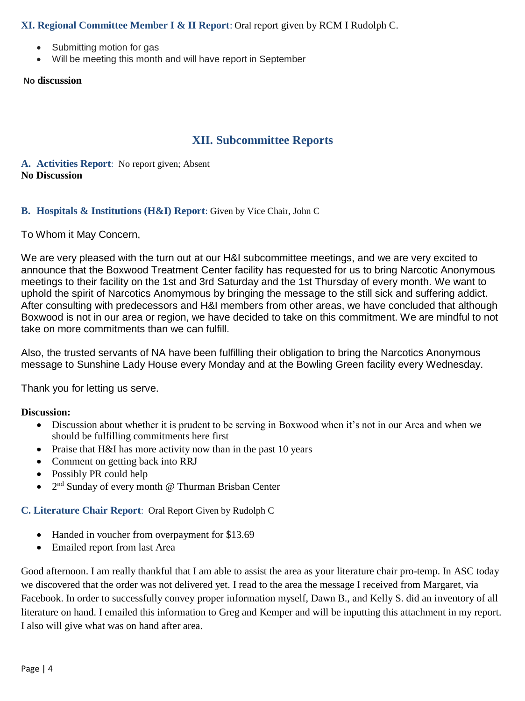## **XI. Regional Committee Member I & II Report**: Oral report given by RCM I Rudolph C.

- Submitting motion for gas
- Will be meeting this month and will have report in September

#### **No discussion**

# **XII. Subcommittee Reports**

## **A. Activities Report**: No report given; Absent **No Discussion**

### **B. Hospitals & Institutions (H&I) Report**: Given by Vice Chair, John C

### To Whom it May Concern,

We are very pleased with the turn out at our H&I subcommittee meetings, and we are very excited to announce that the Boxwood Treatment Center facility has requested for us to bring Narcotic Anonymous meetings to their facility on the 1st and 3rd Saturday and the 1st Thursday of every month. We want to uphold the spirit of Narcotics Anomymous by bringing the message to the still sick and suffering addict. After consulting with predecessors and H&I members from other areas, we have concluded that although Boxwood is not in our area or region, we have decided to take on this commitment. We are mindful to not take on more commitments than we can fulfill.

Also, the trusted servants of NA have been fulfilling their obligation to bring the Narcotics Anonymous message to Sunshine Lady House every Monday and at the Bowling Green facility every Wednesday.

Thank you for letting us serve.

### **Discussion:**

- Discussion about whether it is prudent to be serving in Boxwood when it's not in our Area and when we should be fulfilling commitments here first
- Praise that H&I has more activity now than in the past 10 years
- Comment on getting back into RRJ
- Possibly PR could help
- $\bullet$   $2<sup>nd</sup>$  Sunday of every month @ Thurman Brisban Center

### **C. Literature Chair Report**: Oral Report Given by Rudolph C

- Handed in voucher from overpayment for \$13.69
- Emailed report from last Area

Good afternoon. I am really thankful that I am able to assist the area as your literature chair pro-temp. In ASC today we discovered that the order was not delivered yet. I read to the area the message I received from Margaret, via Facebook. In order to successfully convey proper information myself, Dawn B., and Kelly S. did an inventory of all literature on hand. I emailed this information to Greg and Kemper and will be inputting this attachment in my report. I also will give what was on hand after area.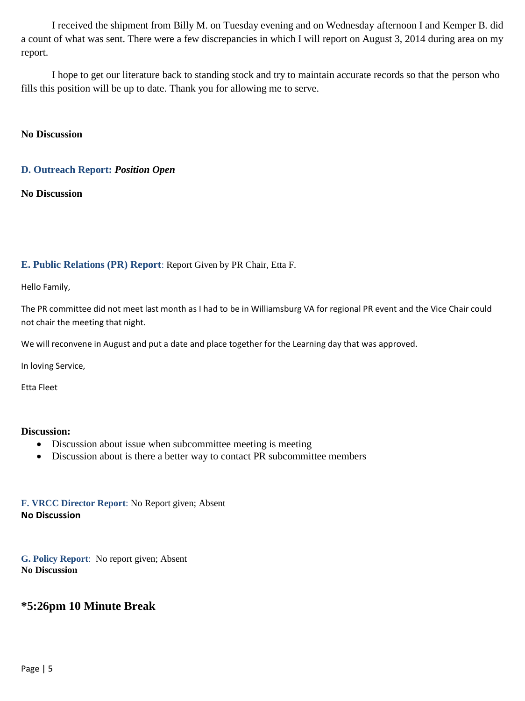I received the shipment from Billy M. on Tuesday evening and on Wednesday afternoon I and Kemper B. did a count of what was sent. There were a few discrepancies in which I will report on August 3, 2014 during area on my report.

I hope to get our literature back to standing stock and try to maintain accurate records so that the person who fills this position will be up to date. Thank you for allowing me to serve.

#### **No Discussion**

#### **D. Outreach Report:** *Position Open*

**No Discussion**

#### **E. Public Relations (PR) Report**: Report Given by PR Chair, Etta F.

Hello Family,

The PR committee did not meet last month as I had to be in Williamsburg VA for regional PR event and the Vice Chair could not chair the meeting that night.

We will reconvene in August and put a date and place together for the Learning day that was approved.

In loving Service,

Etta Fleet

#### **Discussion:**

- Discussion about issue when subcommittee meeting is meeting
- Discussion about is there a better way to contact PR subcommittee members

**F. VRCC Director Report**: No Report given; Absent **No Discussion**

**G. Policy Report**: No report given; Absent **No Discussion**

## **\*5:26pm 10 Minute Break**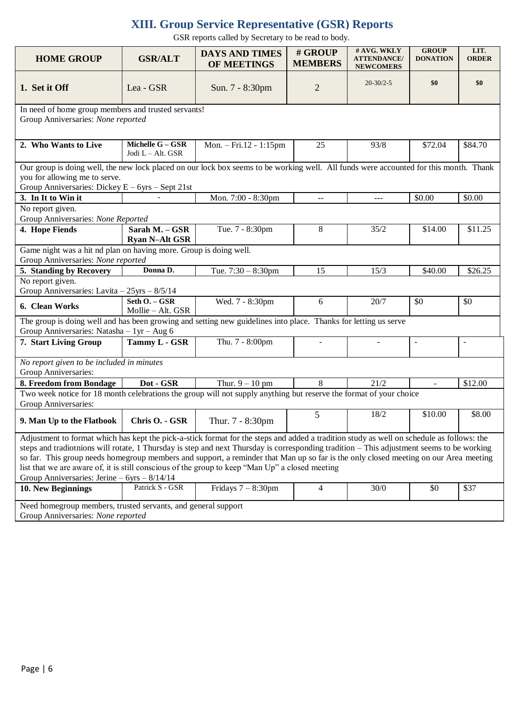# **XIII. Group Service Representative (GSR) Reports**

GSR reports called by Secretary to be read to body.

| <b>HOME GROUP</b>                                                                                                                                                                                                                                                                                                                                                                                                                                                                                                                                                                 | <b>GSR/ALT</b>                                             | <b>DAYS AND TIMES</b><br>OF MEETINGS | # GROUP<br><b>MEMBERS</b> | # AVG. WKLY<br><b>ATTENDANCE/</b><br><b>NEWCOMERS</b> | <b>GROUP</b><br><b>DONATION</b> | LIT.<br><b>ORDER</b> |  |  |
|-----------------------------------------------------------------------------------------------------------------------------------------------------------------------------------------------------------------------------------------------------------------------------------------------------------------------------------------------------------------------------------------------------------------------------------------------------------------------------------------------------------------------------------------------------------------------------------|------------------------------------------------------------|--------------------------------------|---------------------------|-------------------------------------------------------|---------------------------------|----------------------|--|--|
| 1. Set it Off                                                                                                                                                                                                                                                                                                                                                                                                                                                                                                                                                                     | Lea - GSR                                                  | Sun. 7 - 8:30pm                      | $\overline{2}$            | $20 - 30/2 - 5$                                       | \$0                             | \$0                  |  |  |
| In need of home group members and trusted servants!<br>Group Anniversaries: None reported                                                                                                                                                                                                                                                                                                                                                                                                                                                                                         |                                                            |                                      |                           |                                                       |                                 |                      |  |  |
| 2. Who Wants to Live                                                                                                                                                                                                                                                                                                                                                                                                                                                                                                                                                              | Michelle $G - GSR$<br>Jodi L - Alt. GSR                    | Mon. $-$ Fri. 12 - 1:15pm            | 25                        | 93/8                                                  | \$72.04                         | \$84.70              |  |  |
| Our group is doing well, the new lock placed on our lock box seems to be working well. All funds were accounted for this month. Thank<br>you for allowing me to serve.<br>Group Anniversaries: Dickey $E - 6yrs -$ Sept 21st                                                                                                                                                                                                                                                                                                                                                      |                                                            |                                      |                           |                                                       |                                 |                      |  |  |
| 3. In It to Win it                                                                                                                                                                                                                                                                                                                                                                                                                                                                                                                                                                |                                                            | Mon. 7:00 - 8:30pm                   | $\overline{a}$            | ---                                                   | \$0.00                          | \$0.00               |  |  |
| No report given.<br>Group Anniversaries: None Reported                                                                                                                                                                                                                                                                                                                                                                                                                                                                                                                            |                                                            |                                      |                           |                                                       |                                 |                      |  |  |
| 4. Hope Fiends                                                                                                                                                                                                                                                                                                                                                                                                                                                                                                                                                                    | Sarah M. - GSR<br><b>Ryan N-Alt GSR</b>                    | Tue. 7 - 8:30pm                      | 8                         | 35/2                                                  | \$14.00                         | \$11.25              |  |  |
| Game night was a hit nd plan on having more. Group is doing well.<br>Group Anniversaries: None reported                                                                                                                                                                                                                                                                                                                                                                                                                                                                           |                                                            |                                      |                           |                                                       |                                 |                      |  |  |
| 5. Standing by Recovery                                                                                                                                                                                                                                                                                                                                                                                                                                                                                                                                                           | Donna D.<br>Tue. $7:30 - 8:30$ pm<br>15<br>\$40.00<br>15/3 |                                      |                           |                                                       | \$26.25                         |                      |  |  |
| No report given.                                                                                                                                                                                                                                                                                                                                                                                                                                                                                                                                                                  |                                                            |                                      |                           |                                                       |                                 |                      |  |  |
| Group Anniversaries: Lavita - 25yrs - 8/5/14                                                                                                                                                                                                                                                                                                                                                                                                                                                                                                                                      |                                                            |                                      |                           |                                                       |                                 |                      |  |  |
| 6. Clean Works                                                                                                                                                                                                                                                                                                                                                                                                                                                                                                                                                                    | Seth O. - GSR<br>Mollie - Alt. GSR                         | Wed. 7 - 8:30pm                      | 6                         | 20/7                                                  | \$0                             | \$0                  |  |  |
| The group is doing well and has been growing and setting new guidelines into place. Thanks for letting us serve<br>Group Anniversaries: Natasha $-1yr - Aug 6$                                                                                                                                                                                                                                                                                                                                                                                                                    |                                                            |                                      |                           |                                                       |                                 |                      |  |  |
| 7. Start Living Group                                                                                                                                                                                                                                                                                                                                                                                                                                                                                                                                                             | Tammy L - GSR                                              | Thu. 7 - 8:00pm                      |                           |                                                       | $\overline{a}$                  | ÷,                   |  |  |
| No report given to be included in minutes<br>Group Anniversaries:                                                                                                                                                                                                                                                                                                                                                                                                                                                                                                                 |                                                            |                                      |                           |                                                       |                                 |                      |  |  |
| 8. Freedom from Bondage                                                                                                                                                                                                                                                                                                                                                                                                                                                                                                                                                           | Dot - GSR                                                  | Thur. $9 - 10$ pm                    | 8                         | 21/2                                                  | $\overline{\phantom{a}}$        | \$12.00              |  |  |
| Two week notice for 18 month celebrations the group will not supply anything but reserve the format of your choice<br>Group Anniversaries:                                                                                                                                                                                                                                                                                                                                                                                                                                        |                                                            |                                      |                           |                                                       |                                 |                      |  |  |
| 9. Man Up to the Flatbook                                                                                                                                                                                                                                                                                                                                                                                                                                                                                                                                                         | Chris O. - GSR                                             | Thur. 7 - 8:30pm                     | 5                         | 18/2                                                  | \$10.00                         | \$8.00               |  |  |
| Adjustment to format which has kept the pick-a-stick format for the steps and added a tradition study as well on schedule as follows: the<br>steps and tradiotnions will rotate, 1 Thursday is step and next Thursday is corresponding tradition - This adjustment seems to be working<br>so far. This group needs homegroup members and support, a reminder that Man up so far is the only closed meeting on our Area meeting<br>list that we are aware of, it is still conscious of the group to keep "Man Up" a closed meeting<br>Group Anniversaries: Jerine - 6yrs - 8/14/14 |                                                            |                                      |                           |                                                       |                                 |                      |  |  |
| 10. New Beginnings                                                                                                                                                                                                                                                                                                                                                                                                                                                                                                                                                                | Patrick S - GSR                                            | Fridays $7 - 8:30$ pm                | 4                         | 30/0                                                  | \$0                             | \$37                 |  |  |
| Need homegroup members, trusted servants, and general support                                                                                                                                                                                                                                                                                                                                                                                                                                                                                                                     |                                                            |                                      |                           |                                                       |                                 |                      |  |  |
| Group Anniversaries: None reported                                                                                                                                                                                                                                                                                                                                                                                                                                                                                                                                                |                                                            |                                      |                           |                                                       |                                 |                      |  |  |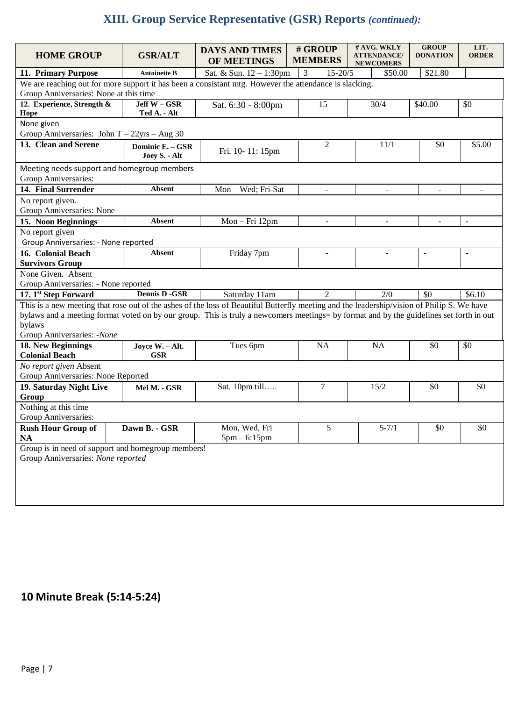# **XIII. Group Service Representative (GSR) Reports** *(continued):*

| <b>HOME GROUP</b>                                                                                                                                                                                                                                                                                                             | <b>GSR/ALT</b>                    | <b>DAYS AND TIMES</b><br>OF MEETINGS | # GROUP<br><b>MEMBERS</b>     | # AVG. WKLY<br><b>ATTENDANCE/</b><br><b>NEWCOMERS</b> | <b>GROUP</b><br><b>DONATION</b> | LIT.<br><b>ORDER</b>     |  |  |  |
|-------------------------------------------------------------------------------------------------------------------------------------------------------------------------------------------------------------------------------------------------------------------------------------------------------------------------------|-----------------------------------|--------------------------------------|-------------------------------|-------------------------------------------------------|---------------------------------|--------------------------|--|--|--|
| 11. Primary Purpose<br><b>Antoinette B</b>                                                                                                                                                                                                                                                                                    |                                   | Sat. & Sun. 12 - 1:30pm              | $\overline{3}$<br>$15 - 20/5$ | \$50.00                                               | \$21.80                         |                          |  |  |  |
| We are reaching out for more support it has been a consistant mtg. However the attendance is slacking.<br>Group Anniversaries: None at this time                                                                                                                                                                              |                                   |                                      |                               |                                                       |                                 |                          |  |  |  |
| 12. Experience, Strength &<br>Hope                                                                                                                                                                                                                                                                                            | Jeff W - GSR<br>Ted A. - Alt      | Sat. 6:30 - 8:00pm                   | 15                            | 30/4                                                  | \$40.00                         | \$0                      |  |  |  |
| None given<br>Group Anniversaries: John T - 22yrs - Aug 30                                                                                                                                                                                                                                                                    |                                   |                                      |                               |                                                       |                                 |                          |  |  |  |
| 13. Clean and Serene                                                                                                                                                                                                                                                                                                          | Dominic E. - GSR<br>Joey S. - Alt | Fri. 10-11: 15pm                     | $\mathbf{2}$                  | 11/1                                                  | \$0                             | \$5.00                   |  |  |  |
| Meeting needs support and homegroup members<br>Group Anniversaries:                                                                                                                                                                                                                                                           |                                   |                                      |                               |                                                       |                                 |                          |  |  |  |
| 14. Final Surrender                                                                                                                                                                                                                                                                                                           | <b>Absent</b>                     | Mon - Wed; Fri-Sat                   | L.                            |                                                       |                                 |                          |  |  |  |
| No report given.<br>Group Anniversaries: None                                                                                                                                                                                                                                                                                 |                                   |                                      |                               |                                                       |                                 |                          |  |  |  |
| 15. Noon Beginnings                                                                                                                                                                                                                                                                                                           | <b>Absent</b>                     | Mon-Fri 12pm                         | $\frac{1}{2}$                 | $\blacksquare$                                        | $\overline{\phantom{a}}$        | $\overline{\phantom{a}}$ |  |  |  |
| No report given                                                                                                                                                                                                                                                                                                               |                                   |                                      |                               |                                                       |                                 |                          |  |  |  |
| Group Anniversaries: - None reported                                                                                                                                                                                                                                                                                          |                                   |                                      |                               |                                                       |                                 |                          |  |  |  |
| 16. Colonial Beach                                                                                                                                                                                                                                                                                                            | <b>Absent</b>                     | Friday 7pm                           | $\overline{\phantom{a}}$      | $\mathbf{r}$                                          | $\blacksquare$                  | $\overline{\phantom{a}}$ |  |  |  |
| <b>Survivors Group</b>                                                                                                                                                                                                                                                                                                        |                                   |                                      |                               |                                                       |                                 |                          |  |  |  |
| None Given. Absent                                                                                                                                                                                                                                                                                                            |                                   |                                      |                               |                                                       |                                 |                          |  |  |  |
| Group Anniversaries: - None reported                                                                                                                                                                                                                                                                                          |                                   |                                      |                               |                                                       |                                 |                          |  |  |  |
| 17. 1st Step Forward                                                                                                                                                                                                                                                                                                          | <b>Dennis D -GSR</b>              | Saturday 11am                        | $\overline{2}$                | 2/0                                                   | \$0                             | \$6.10                   |  |  |  |
| This is a new meeting that rose out of the ashes of the loss of Beautiful Butterfly meeting and the leadership/vision of Philip S. We have<br>bylaws and a meeting format voted on by our group. This is truly a newcomers meetings= by format and by the guidelines set forth in out<br>bylaws<br>Group Anniversaries: -None |                                   |                                      |                               |                                                       |                                 |                          |  |  |  |
| 18. New Beginnings<br><b>Colonial Beach</b>                                                                                                                                                                                                                                                                                   | Joyce W. - Alt.<br><b>GSR</b>     | Tues 6pm                             | <b>NA</b>                     | <b>NA</b>                                             | \$0                             | \$0                      |  |  |  |
| No report given Absent<br>Group Anniversaries: None Reported                                                                                                                                                                                                                                                                  |                                   |                                      |                               |                                                       |                                 |                          |  |  |  |
| 19. Saturday Night Live<br>Group                                                                                                                                                                                                                                                                                              | Mel M. - GSR                      | Sat. 10pm till                       | 7                             | 15/2                                                  | \$0                             | \$0                      |  |  |  |
| Nothing at this time<br>Group Anniversaries:                                                                                                                                                                                                                                                                                  |                                   |                                      |                               |                                                       |                                 |                          |  |  |  |
| <b>Rush Hour Group of</b><br><b>NA</b>                                                                                                                                                                                                                                                                                        | Dawn B. - GSR                     | Mon, Wed, Fri<br>$5pm - 6:15pm$      | 5                             | $5 - 7/1$                                             | \$0                             | \$0                      |  |  |  |
| Group is in need of support and homegroup members!<br>Group Anniversaries: None reported                                                                                                                                                                                                                                      |                                   |                                      |                               |                                                       |                                 |                          |  |  |  |

# **10 Minute Break (5:14-5:24)**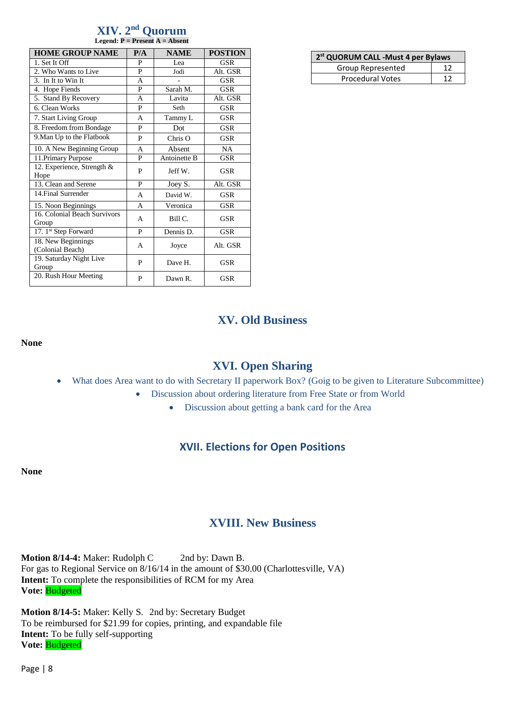#### **XIV. 2 nd Quorum Legend: P = Present A = Absent**

| <b>HOME GROUP NAME</b>                 | P/A | <b>NAME</b>  | <b>POSTION</b> |
|----------------------------------------|-----|--------------|----------------|
| 1. Set It Off                          | P   | Lea          | <b>GSR</b>     |
| 2. Who Wants to Live                   | P   | Jodi         | Alt. GSR       |
| 3. In It to Win It                     | A   |              | GSR            |
| 4. Hope Fiends                         | P   | Sarah M.     | GSR            |
| 5. Stand By Recovery                   | A   | Lavita       | Alt. GSR       |
| 6. Clean Works                         | P   | Seth         | <b>GSR</b>     |
| 7. Start Living Group                  | A   | Tammy L      | <b>GSR</b>     |
| 8. Freedom from Bondage                | P   | Dot          | GSR            |
| 9. Man Up to the Flatbook              | P   | $Chris$ O    | <b>GSR</b>     |
| 10. A New Beginning Group              | A   | Absent       | <b>NA</b>      |
| 11. Primary Purpose                    | P   | Antoinette B | <b>GSR</b>     |
| 12. Experience, Strength &<br>Hope     | P   | Jeff W.      | <b>GSR</b>     |
| 13. Clean and Serene                   | P   | Joey S.      | Alt. GSR       |
| 14. Final Surrender                    | A   | David W.     | <b>GSR</b>     |
| 15. Noon Beginnings                    | A   | Veronica     | <b>GSR</b>     |
| 16. Colonial Beach Survivors<br>Group  | A   | Bill C.      | <b>GSR</b>     |
| 17. 1st Step Forward                   | P   | Dennis D.    | <b>GSR</b>     |
| 18. New Beginnings<br>(Colonial Beach) | A   | Joyce        | Alt. GSR       |
| 19. Saturday Night Live<br>Group       | P   | Dave H.      | <b>GSR</b>     |
| 20. Rush Hour Meeting                  | P   | Dawn R.      | GSR            |

| 2st QUORUM CALL - Must 4 per Bylaws |    |  |  |  |
|-------------------------------------|----|--|--|--|
| Group Represented                   |    |  |  |  |
| <b>Procedural Votes</b>             | าว |  |  |  |

## **XV. Old Business**

#### **None**

## **XVI. Open Sharing**

- What does Area want to do with Secretary II paperwork Box? (Goig to be given to Literature Subcommittee)
	- Discussion about ordering literature from Free State or from World
		- Discussion about getting a bank card for the Area

## **XVII. Elections for Open Positions**

**None**

## **XVIII. New Business**

**Motion 8/14-4:** Maker: Rudolph C 2nd by: Dawn B. For gas to Regional Service on 8/16/14 in the amount of \$30.00 (Charlottesville, VA) **Intent:** To complete the responsibilities of RCM for my Area **Vote:** Budgeted

**Motion 8/14-5:** Maker: Kelly S. 2nd by: Secretary Budget To be reimbursed for \$21.99 for copies, printing, and expandable file **Intent:** To be fully self-supporting **Vote:** Budgeted